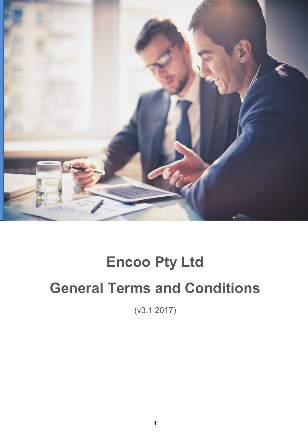

# **Encoo Pty Ltd General Terms and Conditions**

(v3.1 2017)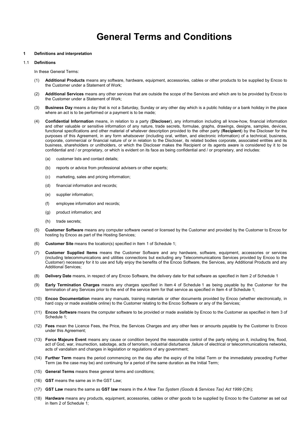## **General Terms and Conditions**

#### **1 Definitions and interpretation**

#### 1.1 **Definitions**

In these General Terms:

- (1) **Additional Products** means any software, hardware, equipment, accessories, cables or other products to be supplied by Encoo to the Customer under a Statement of Work;
- (2) **Additional Services** means any other services that are outside the scope of the Services and which are to be provided by Encoo to the Customer under a Statement of Work;
- (3) **Business Day** means a day that is not a Saturday, Sunday or any other day which is a public holiday or a bank holiday in the place where an act is to be performed or a payment is to be made;
- (4) **Confidential Information** means, in relation to a party (**Discloser**), any information including all know-how, financial information and other valuable or sensitive information of any nature, trade secrets, formulae, graphs, drawings, designs, samples, devices, functional specifications and other material of whatever description provided to the other party (**Recipient**) by the Discloser for the purposes of this Agreement, in any form whatsoever (including oral, written, and electronic information) of a technical, business, corporate, commercial or financial nature of or in relation to the Discloser, its related bodies corporate, associated entities and its business, shareholders or unitholders, or which the Discloser makes the Recipient or its agents aware is considered by it to be confidential and / or proprietary, or which is evident on its face as being confidential and / or proprietary, and includes:
	- (a) customer lists and contact details;
	- (b) reports or advice from professional advisers or other experts;
	- (c) marketing, sales and pricing information;
	- (d) financial information and records;
	- (e) supplier information;
	- (f) employee information and records;
	- (g) product information; and
	- (h) trade secrets;
- (5) **Customer Software** means any computer software owned or licensed by the Customer and provided by the Customer to Encoo for hosting by Encoo as part of the Hosting Services;
- (6) **Customer Site** means the location(s) specified in Item 1 of Schedule 1;
- (7) **Customer Supplied Items** means the Customer Software and any hardware, software, equipment, accessories or services (including telecommunications and utilities connections but excluding any Telecommunications Services provided by Encoo to the Customer) necessary for it to use and fully enjoy the benefits of the Encoo Software, the Services, any Additional Products and any Additional Services;
- (8) **Delivery Date** means, in respect of any Encoo Software, the delivery date for that software as specified in Item 2 of Schedule 1
- (9) **Early Termination Charges** means any charges specified in Item 4 of Schedule 1 as being payable by the Customer for the termination of any Services prior to the end of the service term for that service as specified in Item 4 of Schedule 1;
- (10) **Encoo Documentation** means any manuals, training materials or other documents provided by Encoo (whether electronically, in hard copy or made available online) to the Customer relating to the Encoo Software or any of the Services;
- (11) **Encoo Software** means the computer software to be provided or made available by Encoo to the Customer as specified in Item 3 of Schedule 1;
- (12) **Fees** mean the Licence Fees, the Price, the Services Charges and any other fees or amounts payable by the Customer to Encoo under this Agreement;
- (13) **Force Majeure Event** means any cause or condition beyond the reasonable control of the party relying on it, including fire, flood, act of God, war, insurrection, sabotage, acts of terrorism, industrial disturbance ,failure of electrical or telecommunications networks, acts of vandalism and changes in legislation or regulations of any government;
- (14) **Further Term** means the period commencing on the day after the expiry of the Initial Term or the immediately preceding Further Term (as the case may be) and continuing for a period of the same duration as the Initial Term;
- (15) **General Terms** means these general terms and conditions;
- (16) **GST** means the same as in the GST Law;
- (17) **GST Law** means the same as **GST law** means in the *A New Tax System (Goods & Services Tax) Act 1999* (Cth);
- (18) **Hardware** means any products, equipment, accessories, cables or other goods to be supplied by Encoo to the Customer as set out in Item 2 of Schedule 1;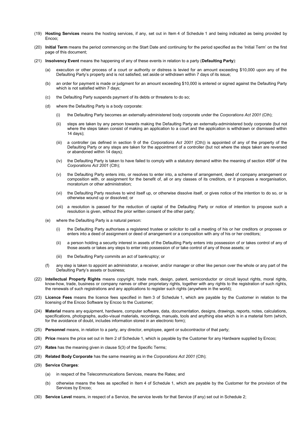- (19) **Hosting Services** means the hosting services, if any, set out in Item 4 of Schedule 1 and being indicated as being provided by Encoo;
- (20) **Initial Term** means the period commencing on the Start Date and continuing for the period specified as the 'Initial Term' on the first page of this document;
- (21) **Insolvency Event** means the happening of any of these events in relation to a party (**Defaulting Party**):
	- (a) execution or other process of a court or authority or distress is levied for an amount exceeding \$10,000 upon any of the Defaulting Party's property and is not satisfied, set aside or withdrawn within 7 days of its issue;
	- (b) an order for payment is made or judgment for an amount exceeding \$10,000 is entered or signed against the Defaulting Party which is not satisfied within 7 days;
	- (c) the Defaulting Party suspends payment of its debts or threatens to do so;
	- (d) where the Defaulting Party is a body corporate:
		- (i) the Defaulting Party becomes an externally-administered body corporate under the *Corporations Act 2001* (Cth);
		- (ii) steps are taken by any person towards making the Defaulting Party an externally-administered body corporate (but not where the steps taken consist of making an application to a court and the application is withdrawn or dismissed within 14 days);
		- (iii) a controller (as defined in section 9 of the *Corporations Act 2001* (Cth)) is appointed of any of the property of the Defaulting Party or any steps are taken for the appointment of a controller (but not where the steps taken are reversed or abandoned within 14 days);
		- (iv) the Defaulting Party is taken to have failed to comply with a statutory demand within the meaning of section 459F of the *Corporations Act 2001* (Cth);
		- (v) the Defaulting Party enters into, or resolves to enter into, a scheme of arrangement, deed of company arrangement or composition with, or assignment for the benefit of, all or any classes of its creditors, or it proposes a reorganisation, moratorium or other administration;
		- (vi) the Defaulting Party resolves to wind itself up, or otherwise dissolve itself, or gives notice of the intention to do so, or is otherwise wound up or dissolved; or
		- (vii) a resolution is passed for the reduction of capital of the Defaulting Party or notice of intention to propose such a resolution is given, without the prior written consent of the other party;
	- (e) where the Defaulting Party is a natural person:
		- the Defaulting Party authorises a registered trustee or solicitor to call a meeting of his or her creditors or proposes or enters into a deed of assignment or deed of arrangement or a composition with any of his or her creditors;
		- (ii) a person holding a security interest in assets of the Defaulting Party enters into possession of or takes control of any of those assets or takes any steps to enter into possession of or take control of any of those assets; or
		- (iii) the Defaulting Party commits an act of bankruptcy; or
	- (f) any step is taken to appoint an administrator, a receiver, and/or manager or other like person over the whole or any part of the Defaulting Party's assets or business;
- (22) **Intellectual Property Rights** means copyright, trade mark, design, patent, semiconductor or circuit layout rights, moral rights, know-how, trade, business or company names or other proprietary rights, together with any rights to the registration of such rights, the renewals of such registrations and any applications to register such rights (anywhere in the world);
- (23) **Licence Fees** means the licence fees specified in Item 3 of Schedule 1, which are payable by the Customer in relation to the licensing of the Encoo Software by Encoo to the Customer;
- (24) **Material** means any equipment, hardware, computer software, data, documentation, designs, drawings, reports, notes, calculations, specifications, photographs, audio-visual materials, recordings, manuals, tools and anything else which is in a material form (which, for the avoidance of doubt, includes information stored in an electronic form);
- (25) **Personnel** means, in relation to a party, any director, employee, agent or subcontractor of that party;
- (26) **Price** means the price set out in Item 2 of Schedule 1, which is payable by the Customer for any Hardware supplied by Encoo;
- (27) **Rates** has the meaning given in clause 5(3) of the Specific Terms;
- (28) **Related Body Corporate** has the same meaning as in the *Corporations Act 2001* (Cth);
- (29) **Service Charges**:
	- (a) in respect of the Telecommunications Services, means the Rates; and
	- (b) otherwise means the fees as specified in Item 4 of Schedule 1, which are payable by the Customer for the provision of the Services by Encoo;
- (30) **Service Level** means, in respect of a Service, the service levels for that Service (if any) set out in Schedule 2;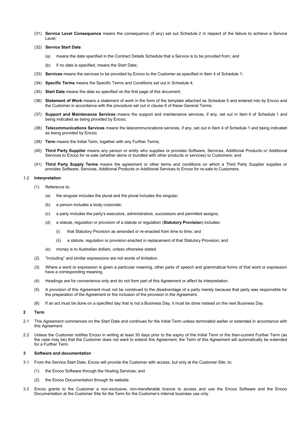- (31) **Service Level Consequence** means the consequence (if any) set out Schedule 2 in respect of the failure to achieve a Service Level;
- (32) **Service Start Date**:
	- (a) means the date specified in the Contract Details Schedule that a Service is to be provided from; and
	- (b) if no date is specified, means the Start Date;
- (33) **Services** means the services to be provided by Encoo to the Customer as specified in Item 4 of Schedule 1;
- (34) **Specific Terms** means the Specific Terms and Conditions set out in Schedule 4;
- (35) **Start Date** means the date so specified on the first page of this document;
- (36) **Statement of Work** means a statement of work in the form of the template attached as Schedule 5 and entered into by Encoo and the Customer in accordance with the procedure set out in clause 6 of these General Terms;
- (37) **Support and Maintenance Services** means the support and maintenance services, if any, set out in Item 4 of Schedule 1 and being indicated as being provided by Encoo;
- (38) **Telecommunications Services** means the telecommunications services, if any, set out in Item 4 of Schedule 1 and being indicated as being provided by Encoo;
- (39) **Term** means the Initial Term, together with any Further Terms;
- (40) **Third Party Supplier** means any person or entity who supplies or provides Software, Services, Additional Products or Additional Services to Encoo for re-sale (whether alone or bundled with other products or services) to Customers; and
- (41) **Third Party Supply Terms** means the agreement or other terms and conditions on which a Third Party Supplier supplies or provides Software, Services, Additional Products or Additional Services to Encoo for re-sale to Customers.

#### 1.2 **Interpretation**

- (1) Reference to:
	- (a) the singular includes the plural and the plural includes the singular;
	- (b) a person includes a body corporate;
	- (c) a party includes the party's executors, administrators, successors and permitted assigns;
	- (d) a statute, regulation or provision of a statute or regulation (**Statutory Provision**) includes:
		- (i) that Statutory Provision as amended or re-enacted from time to time; and
		- (ii) a statute, regulation or provision enacted in replacement of that Statutory Provision; and
	- (e) money is to Australian dollars, unless otherwise stated.
- (2) "Including" and similar expressions are not words of limitation.
- (3) Where a word or expression is given a particular meaning, other parts of speech and grammatical forms of that word or expression have a corresponding meaning.
- (4) Headings are for convenience only and do not form part of this Agreement or affect its interpretation.
- (5) A provision of this Agreement must not be construed to the disadvantage of a party merely because that party was responsible for the preparation of the Agreement or the inclusion of the provision in the Agreement.
- (6) If an act must be done on a specified day that is not a Business Day, it must be done instead on the next Business Day.

#### **2 Term**

- 2.1 This Agreement commences on the Start Date and continues for the Initial Term unless terminated earlier or extended in accordance with this Agreement.
- 2.2 Unless the Customer notifies Encoo in writing at least 30 days prior to the expiry of the Initial Term or the then-current Further Term (as the case may be) that the Customer does not want to extend this Agreement, the Term of this Agreement will automatically be extended for a Further Term.

#### **3 Software and documentation**

- 3.1 From the Service Start Date, Encoo will provide the Customer with access, but only at the Customer Site, to:
	- (1) the Encoo Software through the Hosting Services; and
	- (2) the Encoo Documentation through its website.
- 3.2 Encoo grants to the Customer a non-exclusive, non-transferable licence to access and use the Encoo Software and the Encoo Documentation at the Customer Site for the Term for the Customer's internal business use only.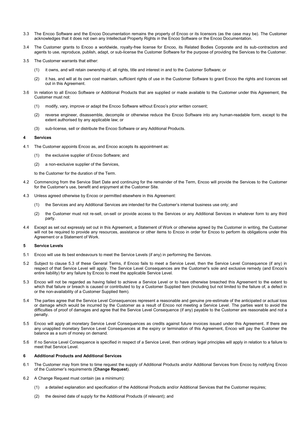- 3.3 The Encoo Software and the Encoo Documentation remains the property of Encoo or its licensors (as the case may be). The Customer acknowledges that it does not own any Intellectual Property Rights in the Encoo Software or the Encoo Documentation.
- 3.4 The Customer grants to Encoo a worldwide, royalty-free license for Encoo, its Related Bodies Corporate and its sub-contractors and agents to use, reproduce, publish, adapt, or sub-license the Customer Software for the purpose of providing the Services to the Customer.
- 3.5 The Customer warrants that either:
	- (1) it owns, and will retain ownership of, all rights, title and interest in and to the Customer Software; or
	- (2) it has, and will at its own cost maintain, sufficient rights of use in the Customer Software to grant Encoo the rights and licences set out in this Agreement.
- 3.6 In relation to all Encoo Software or Additional Products that are supplied or made available to the Customer under this Agreement, the Customer must not:
	- (1) modify, vary, improve or adapt the Encoo Software without Encoo's prior written consent;
	- (2) reverse engineer, disassemble, decompile or otherwise reduce the Encoo Software into any human-readable form, except to the extent authorised by any applicable law; or
	- (3) sub-license, sell or distribute the Encoo Software or any Additional Products.

#### **4 Services**

- 4.1 The Customer appoints Encoo as, and Encoo accepts its appointment as:
	- (1) the exclusive supplier of Encoo Software; and
	- (2) a non-exclusive supplier of the Services,

to the Customer for the duration of the Term.

- 4.2 Commencing from the Service Start Date and continuing for the remainder of the Term, Encoo will provide the Services to the Customer for the Customer's use, benefit and enjoyment at the Customer Site.
- 4.3 Unless agreed otherwise by Encoo or permitted elsewhere in this Agreement:
	- (1) the Services and any Additional Services are intended for the Customer's internal business use only; and
	- (2) the Customer must not re-sell, on-sell or provide access to the Services or any Additional Services in whatever form to any third party.
- 4.4 Except as set out expressly set out in this Agreement, a Statement of Work or otherwise agreed by the Customer in writing, the Customer will not be required to provide any resources, assistance or other items to Encoo in order for Encoo to perform its obligations under this Agreement or a Statement of Work.

#### **5 Service Levels**

- 5.1 Encoo will use its best endeavours to meet the Service Levels (if any) in performing the Services.
- 5.2 Subject to clause 5.3 of these General Terms, if Encoo fails to meet a Service Level, then the Service Level Consequence (if any) in respect of that Service Level will apply. The Service Level Consequences are the Customer's sole and exclusive remedy (and Encoo's entire liability) for any failure by Encoo to meet the applicable Service Level.
- 5.3 Encoo will not be regarded as having failed to achieve a Service Level or to have otherwise breached this Agreement to the extent to which that failure or breach is caused or contributed to by a Customer Supplied Item (including but not limited to the failure of, a defect in or the non-availability of a Customer Supplied Item).
- 5.4 The parties agree that the Service Level Consequences represent a reasonable and genuine pre-estimate of the anticipated or actual loss or damage which would be incurred by the Customer as a result of Encoo not meeting a Service Level. The parties want to avoid the difficulties of proof of damages and agree that the Service Level Consequence (if any) payable to the Customer are reasonable and not a penalty.
- 5.5 Encoo will apply all monetary Service Level Consequences as credits against future invoices issued under this Agreement. If there are any unapplied monetary Service Level Consequences at the expiry or termination of this Agreement, Encoo will pay the Customer the balance as a sum of money on demand.
- 5.6 If no Service Level Consequence is specified in respect of a Service Level, then ordinary legal principles will apply in relation to a failure to meet that Service Level.

#### **6 Additional Products and Additional Services**

- 6.1 The Customer may from time to time request the supply of Additional Products and/or Additional Services from Encoo by notifying Encoo of the Customer's requirements (**Change Request**).
- 6.2 A Change Request must contain (as a minimum):
	- (1) a detailed explanation and specification of the Additional Products and/or Additional Services that the Customer requires;
	- (2) the desired date of supply for the Additional Products (if relevant); and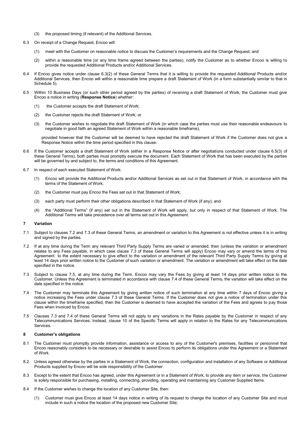- (3) the proposed timing (if relevant) of the Additional Services.
- 6.3 On receipt of a Change Request, Encoo will:
	- (1) meet with the Customer on reasonable notice to discuss the Customer's requirements and the Change Request; and
	- (2) within a reasonable time (or any time frame agreed between the parties), notify the Customer as to whether Encoo is willing to provide the requested Additional Products and/or Additional Services.
- 6.4 If Encoo gives notice under clause 6.3(2) of these General Terms that it is willing to provide the requested Additional Products and/or Additional Services, then Encoo will within a reasonable time prepare a draft Statement of Work (in a form substantially similar to that in Schedule 5).
- 6.5 Within 10 Business Days (or such other period agreed by the parties) of receiving a draft Statement of Work, the Customer must give Encoo a notice in writing (**Response Notice**) whether:
	- (1) the Customer accepts the draft Statement of Work;
	- (2) the Customer rejects the draft Statement of Work; or
	- (3) the Customer wishes to negotiate the draft Statement of Work (in which case the parties must use their reasonable endeavours to negotiate in good faith an agreed Statement of Work within a reasonable timeframe),

provided however that the Customer will be deemed to have rejected the draft Statement of Work if the Customer does not give a Response Notice within the time period specified in this clause.

- 6.6 If the Customer accepts a draft Statement of Work (either in a Response Notice or after negotiations conducted under clause 6.5(3) of these General Terms), both parties must promptly execute the document. Each Statement of Work that has been executed by the parties will be governed by and subject to, the terms and conditions of this Agreement.
- 6.7 In respect of each executed Statement of Work:
	- (1) Encoo will provide the Additional Products and/or Additional Services as set out in that Statement of Work, in accordance with the terms of the Statement of Work;
	- (2) the Customer must pay Encoo the Fees set out in that Statement of Work;
	- (3) each party must perform their other obligations described in that Statement of Work (if any); and
	- (4) the "Additional Terms" (if any) set out in the Statement of Work will apply, but only in respect of that Statement of Work. The Additional Terms will take precedence over all terms set out in this Agreement.

#### **7 Variation**

- 7.1 Subject to clauses 7.2 and 7.3 of these General Terms, an amendment or variation to this Agreement is not effective unless it is in writing and signed by the parties.
- 7.2 If at any time during the Term any relevant Third Party Supply Terms are varied or amended, then (unless the variation or amendment relates to any Fees payable, in which case clause 7.3 of these General Terms will apply) Encoo may vary or amend the terms of this Agreement to the extent necessary to give effect to the variation or amendment of the relevant Third Party Supply Terms by giving at least 14 days prior written notice to the Customer of such variation or amendment. The variation or amendment will take effect on the date specified in the notice.
- 7.3 Subject to clause 7.5, at any time during the Term, Encoo may vary the Fees by giving at least 14 days prior written notice to the Customer. Unless this Agreement is terminated in accordance with clause 7.4 of these General Terms, the variation will take effect on the date specified in the notice.
- 7.4 The Customer may terminate this Agreement by giving written notice of such termination at any time within 7 days of Encoo giving a notice increasing the Fees under clause 7.3 of these General Terms. If the Customer does not give a notice of termination under this clause within the timeframe specified, then the Customer is deemed to have accepted the variation of the Fees and agrees to pay those Fees when invoiced by Encoo.
- 7.5 Clauses 7.3 and 7.4 of these General Terms will not apply to any variations in the Rates payable by the Customer in respect of any Telecommunications Services. Instead, clause 10 of the Specific Terms will apply in relation to the Rates for any Telecommunications Services.

#### **8 Customer's obligations**

- 8.1 The Customer must promptly provide information, assistance or access to any of the Customer's premises, facilities or personnel that Encoo reasonably considers to be necessary or desirable to assist Encoo to perform its obligations under this Agreement or a Statement of Work.
- 8.2 Unless agreed otherwise by the parties in a Statement of Work, the connection, configuration and installation of any Software or Additional Products supplied by Encoo will be sole responsibility of the Customer.
- 8.3 Except to the extent that Encoo has agreed, under this Agreement or in a Statement of Work, to provide any item or service, the Customer is solely responsible for purchasing, installing, connecting, providing, operating and maintaining any Customer Supplied Items.
- 8.4 If the Customer wishes to change the location of any Customer Site, then:
	- (1) Customer must give Encoo at least 14 days notice in writing of its request to change the location of any Customer Site and must include in such a notice the location of the proposed new Customer Site;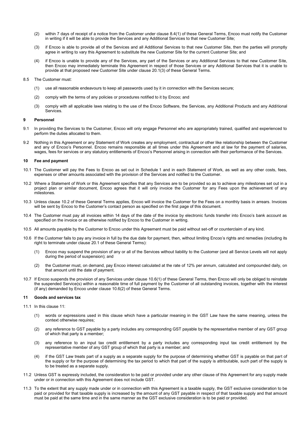- (2) within 7 days of receipt of a notice from the Customer under clause 8.4(1) of these General Terms, Encoo must notify the Customer in writing if it will be able to provide the Services and any Additional Services to that new Customer Site;
- (3) if Encoo is able to provide all of the Services and all Additional Services to that new Customer Site, then the parties will promptly agree in writing to vary this Agreement to substitute the new Customer Site for the current Customer Site; and
- (4) if Encoo is unable to provide any of the Services, any part of the Services or any Additional Services to that new Customer Site, then Encoo may immediately terminate this Agreement in respect of those Services or any Additional Services that it is unable to provide at that proposed new Customer Site under clause 20.1(3) of these General Terms.

#### 8.5 The Customer must:

- (1) use all reasonable endeavours to keep all passwords used by it in connection with the Services secure;
- (2) comply with the terms of any policies or procedures notified to it by Encoo; and
- (3) comply with all applicable laws relating to the use of the Encoo Software, the Services, any Additional Products and any Additional Services.

#### **9 Personnel**

- 9.1 In providing the Services to the Customer, Encoo will only engage Personnel who are appropriately trained, qualified and experienced to perform the duties allocated to them.
- 9.2 Nothing in this Agreement or any Statement of Work creates any employment, contractual or other like relationship between the Customer and any of Encoo's Personnel. Encoo remains responsible at all times under this Agreement and at law for the payment of salaries, wages, fees for services or any statutory entitlements of Encoo's Personnel arising in connection with their performance of the Services.

#### **10 Fee and payment**

- 10.1 The Customer will pay the Fees to Encoo as set out in Schedule 1 and in each Statement of Work, as well as any other costs, fees, expenses or other amounts associated with the provision of the Services and notified to the Customer.
- 10.2 Where a Statement of Work or this Agreement specifies that any Services are to be provided so as to achieve any milestones set out in a project plan or similar document, Encoo agrees that it will only invoice the Customer for any Fees upon the achievement of any milestones.
- 10.3 Unless clause 10.2 of these General Terms applies, Encoo will invoice the Customer for the Fees on a monthly basis in arrears. Invoices will be sent by Encoo to the Customer's contact person as specified on the first page of this document.
- 10.4 The Customer must pay all invoices within 14 days of the date of the invoice by electronic funds transfer into Encoo's bank account as specified on the invoice or as otherwise notified by Encoo to the Customer in writing.
- 10.5 All amounts payable by the Customer to Encoo under this Agreement must be paid without set-off or counterclaim of any kind.
- 10.6 If the Customer fails to pay any invoice in full by the due date for payment, then, without limiting Encoo's rights and remedies (including its right to terminate under clause 20.1 of these General Terms):
	- (1) Encoo may suspend the provision of any or all of the Services without liability to the Customer (and all Service Levels will not apply during the period of suspension); and
	- (2) the Customer must, on demand, pay Encoo interest calculated at the rate of 12% per annum, calculated and compounded daily, on that amount until the date of payment.
- 10.7 If Encoo suspends the provision of any Services under clause 10.6(1) of these General Terms, then Encoo will only be obliged to reinstate the suspended Service(s) within a reasonable time of full payment by the Customer of all outstanding invoices, together with the interest (if any) demanded by Encoo under clause 10.6(2) of these General Terms.

#### **11 Goods and services tax**

- 11.1 In this clause 11:
	- (1) words or expressions used in this clause which have a particular meaning in the GST Law have the same meaning, unless the context otherwise requires;
	- (2) any reference to GST payable by a party includes any corresponding GST payable by the representative member of any GST group of which that party is a member;
	- (3) any reference to an input tax credit entitlement by a party includes any corresponding input tax credit entitlement by the representative member of any GST group of which that party is a member; and
	- (4) if the GST Law treats part of a supply as a separate supply for the purpose of determining whether GST is payable on that part of the supply or for the purpose of determining the tax period to which that part of the supply is attributable, such part of the supply is to be treated as a separate supply.
- 11.2 Unless GST is expressly included, the consideration to be paid or provided under any other clause of this Agreement for any supply made under or in connection with this Agreement does not include GST.
- 11.3 To the extent that any supply made under or in connection with this Agreement is a taxable supply, the GST exclusive consideration to be paid or provided for that taxable supply is increased by the amount of any GST payable in respect of that taxable supply and that amount must be paid at the same time and in the same manner as the GST exclusive consideration is to be paid or provided.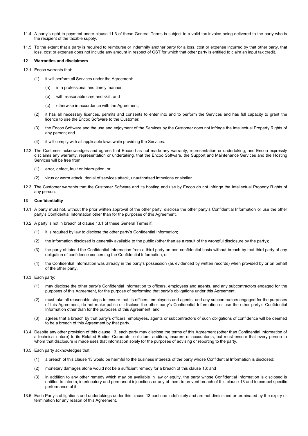- 11.4 A party's right to payment under clause 11.3 of these General Terms is subject to a valid tax invoice being delivered to the party who is the recipient of the taxable supply.
- 11.5 To the extent that a party is required to reimburse or indemnify another party for a loss, cost or expense incurred by that other party, that loss, cost or expense does not include any amount in respect of GST for which that other party is entitled to claim an input tax credit.

#### **12 Warranties and disclaimers**

- 12.1 Encoo warrants that:
	- (1) it will perform all Services under the Agreement:
		- (a) in a professional and timely manner;
		- (b) with reasonable care and skill; and
		- (c) otherwise in accordance with the Agreement;
	- (2) it has all necessary licences, permits and consents to enter into and to perform the Services and has full capacity to grant the licence to use the Encoo Software to the Customer;
	- (3) the Encoo Software and the use and enjoyment of the Services by the Customer does not infringe the Intellectual Property Rights of any person; and
	- (4) it will comply with all applicable laws while providing the Services.
- 12.2 The Customer acknowledges and agrees that Encoo has not made any warranty, representation or undertaking, and Encoo expressly disclaims any warranty, representation or undertaking, that the Encoo Software, the Support and Maintenance Services and the Hosting Services will be free from:
	- (1) error, defect, fault or interruption; or
	- (2) virus or worm attack, denial of services attack, unauthorised intrusions or similar.
- 12.3 The Customer warrants that the Customer Software and its hosting and use by Encoo do not infringe the Intellectual Property Rights of any person.

#### **13 Confidentiality**

- 13.1 A party must not, without the prior written approval of the other party, disclose the other party's Confidential Information or use the other party's Confidential Information other than for the purposes of this Agreement.
- 13.2 A party is not in breach of clause 13.1 of these General Terms if:
	- (1) it is required by law to disclose the other party's Confidential Information;
	- (2) the information disclosed is generally available to the public (other than as a result of the wrongful disclosure by the party);
	- (3) the party obtained the Confidential Information from a third party on non-confidential basis without breach by that third party of any obligation of confidence concerning the Confidential Information; or
	- (4) the Confidential Information was already in the party's possession (as evidenced by written records) when provided by or on behalf of the other party.
- 13.3 Each party:
	- (1) may disclose the other party's Confidential Information to officers, employees and agents, and any subcontractors engaged for the purposes of this Agreement, for the purpose of performing that party's obligations under this Agreement;
	- (2) must take all reasonable steps to ensure that its officers, employees and agents, and any subcontractors engaged for the purposes of this Agreement, do not make public or disclose the other party's Confidential Information or use the other party's Confidential Information other than for the purposes of this Agreement; and
	- (3) agrees that a breach by that party's officers, employees, agents or subcontractors of such obligations of confidence will be deemed to be a breach of this Agreement by that party.
- 13.4 Despite any other provision of this clause 13, each party may disclose the terms of this Agreement (other than Confidential Information of a technical nature) to its Related Bodies Corporate, solicitors, auditors, insurers or accountants, but must ensure that every person to whom that disclosure is made uses that information solely for the purposes of advising or reporting to the party.
- 13.5 Each party acknowledges that:
	- (1) a breach of this clause 13 would be harmful to the business interests of the party whose Confidential Information is disclosed;
	- (2) monetary damages alone would not be a sufficient remedy for a breach of this clause 13; and
	- (3) in addition to any other remedy which may be available in law or equity, the party whose Confidential Information is disclosed is entitled to interim, interlocutory and permanent injunctions or any of them to prevent breach of this clause 13 and to compel specific performance of it.
- 13.6 Each Party's obligations and undertakings under this clause 13 continue indefinitely and are not diminished or terminated by the expiry or termination for any reason of this Agreement.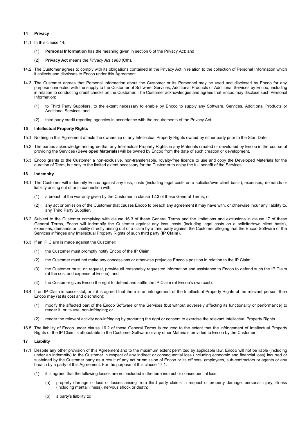#### **14 Privacy**

- 14.1 In this clause 14:
	- (1) **Personal Information** has the meaning given in section 6 of the Privacy Act; and
	- (2) **Privacy Act** means the *Privacy Act 1988* (Cth).
- 14.2 The Customer agrees to comply with its obligations contained in the Privacy Act in relation to the collection of Personal Information which it collects and discloses to Encoo under this Agreement.
- 14.3 The Customer agrees that Personal Information about the Customer or its Personnel may be used and disclosed by Encoo for any purpose connected with the supply to the Customer of Software, Services, Additional Products or Additional Services by Encoo, including in relation to conducting credit checks on the Customer. The Customer acknowledges and agrees that Encoo may disclose such Personal Information:
	- (1) to Third Party Suppliers, to the extent necessary to enable by Encoo to supply any Software, Services, Additional Products or Additional Services; and
	- (2) third party credit reporting agencies in accordance with the requirements of the Privacy Act.

#### **15 Intellectual Property Rights**

- 15.1 Nothing in this Agreement affects the ownership of any Intellectual Property Rights owned by either party prior to the Start Date.
- 15.2 The parties acknowledge and agree that any Intellectual Property Rights in any Materials created or developed by Encoo in the course of providing the Services (**Developed Materials**) will be owned by Encoo from the date of such creation or development.
- 15.3 Encoo grants to the Customer a non-exclusive, non-transferrable, royalty-free licence to use and copy the Developed Materials for the duration of Term, but only to the limited extent necessary for the Customer to enjoy the full benefit of the Services.

#### **16 Indemnity**

- 16.1 The Customer will indemnify Encoo against any loss, costs (including legal costs on a solicitor/own client basis), expenses, demands or liability arising out of or in connection with:
	- (1) a breach of the warranty given by the Customer in clause 12.3 of these General Terms; or
	- (2) any act or omission of the Customer that causes Encoo to breach any agreement it may have with, or otherwise incur any liability to, any Third Party Supplier.
- 16.2 Subject to the Customer complying with clause 16.3 of these General Terms and the limitations and exclusions in clause 17 of these General Terms, Encoo will indemnify the Customer against any loss, costs (including legal costs on a solicitor/own client basis), expenses, demands or liability directly arising out of a claim by a third party against the Customer alleging that the Encoo Software or the Services infringes any Intellectual Property Rights of such third party (**IP Claim**).
- 16.3 If an IP Claim is made against the Customer:
	- (1) the Customer must promptly notify Encoo of the IP Claim;
	- (2) the Customer must not make any concessions or otherwise prejudice Encoo's position in relation to the IP Claim;
	- (3) the Customer must, on request, provide all reasonably requested information and assistance to Encoo to defend such the IP Claim (at the cost and expense of Encoo); and
	- (4) the Customer gives Encoo the right to defend and settle the IP Claim (at Encoo's own cost).
- 16.4 If an IP Claim is successful, or if it is agreed that there is an infringement of the Intellectual Property Rights of the relevant person, then Encoo may (at its cost and discretion):
	- (1) modify the affected part of the Encoo Software or the Services (but without adversely affecting its functionality or performance) to render it, or its use, non-infringing; or
	- (2) render the relevant activity non-infringing by procuring the right or consent to exercise the relevant Intellectual Property Rights.
- 16.5 The liability of Encoo under clause 16.2 of these General Terms is reduced to the extent that the infringement of Intellectual Property Rights or the IP Claim is attributable to the Customer Software or any other Materials provided to Encoo by the Customer.

#### **17 Liability**

- 17.1 Despite any other provision of this Agreement and to the maximum extent permitted by applicable law, Encoo will not be liable (including under an indemnity) to the Customer in respect of any indirect or consequential loss (including economic and financial loss) incurred or sustained by the Customer party as a result of any act or omission of Encoo or its officers, employees, sub-contractors or agents or any breach by a party of this Agreement. For the purpose of this clause 17.1:
	- (1) it is agreed that the following losses are not included in the term indirect or consequential loss:
		- (a) property damage or loss or losses arising from third party claims in respect of property damage, personal injury, illness (including mental illness), nervous shock or death;
		- (b) a party's liability to: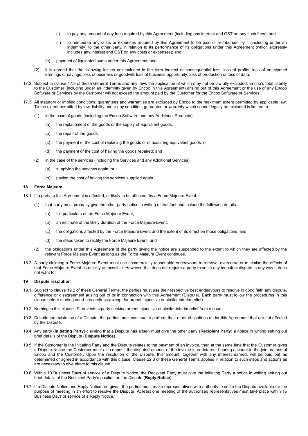- (i) to pay any amount of any fees required by this Agreement (including any interest and GST on any such fees); and
- (ii) to reimburse any costs or expenses required by this Agreement to be paid or reimbursed by it (including under an indemnity) to the other party in relation to its performance of its obligations under this Agreement (which expressly includes any interest and GST on any costs or expenses); and
- (c) payment of liquidated sums under this Agreement; and
- (2) it is agreed that the following losses are included in the term indirect or consequential loss: loss of profits, loss of anticipated earnings or savings, loss of business or goodwill, loss of business opportunity, loss of production or loss of data.
- 17.2 Subject to clause 17.3 of these General Terms and any laws the application of which may not be lawfully excluded, Encoo's total liability to the Customer (including under an indemnity given by Encoo in this Agreement) arising out of this Agreement or the use of any Encoo Software or Services by the Customer will not exceed the amount paid by the Customer for the Encoo Software or Services.
- 17.3 All statutory or implied conditions, guarantees and warranties are excluded by Encoo to the maximum extent permitted by applicable law. To the extent permitted by law, liability under any condition, guarantee or warranty which cannot legally be excluded is limited to:
	- (1) in the case of goods (including the Encoo Software and any Additional Products):
		- (a) the replacement of the goods or the supply of equivalent goods;
		- (b) the repair of the goods;
		- (c) the payment of the cost of replacing the goods or of acquiring equivalent goods; or
		- (d) the payment of the cost of having the goods repaired; and
	- (2) in the case of the services (including the Services and any Additional Services):
		- (a) supplying the services again; or
		- (b) paying the cost of having the services supplied again.

#### **18 Force Majeure**

- 18.1 If a party to this Agreement is affected, or likely to be affected, by a Force Majeure Event:
	- that party must promptly give the other party notice in writing of that fact and include the following details:
		- (a) full particulars of the Force Majeure Event;
		- (b) an estimate of the likely duration of the Force Majeure Event;
		- (c) the obligations affected by the Force Majeure Event and the extent of its effect on those obligations; and
		- (d) the steps taken to rectify the Force Majeure Event; and
	- (2) the obligations under this Agreement of the party giving the notice are suspended to the extent to which they are affected by the relevant Force Majeure Event as long as the Force Majeure Event continues.
- 18.2 A party claiming a Force Majeure Event must use commercially reasonable endeavours to remove, overcome or minimise the effects of that Force Majeure Event as quickly as possible. However, this does not require a party to settle any industrial dispute in any way it does not want to.

#### **19 Dispute resolution**

- 19.1 Subject to clause 19.2 of these General Terms, the parties must use their respective best endeavours to resolve in good faith any dispute, difference or disagreement arising out of or in connection with this Agreement (Dispute). Each party must follow the procedures in this clause before starting court proceedings (except for urgent injunctive or similar interim relief).
- 19.2 Nothing in this clause 19 prevents a party seeking urgent injunctive or similar interim relief from a court.
- 19.3 Despite the existence of a Dispute, the parties must continue to perform their other obligations under this Agreement that are not affected by the Dispute.
- 19.4 Any party (**Initiating Party**) claiming that a Dispute has arisen must give the other party (**Recipient Party**) a notice in writing setting out brief details of the Dispute (**Dispute Notice**).
- 19.5 If the Customer is the Initiating Party and the Dispute relates to the payment of an invoice, then at the same time that the Customer gives a Dispute Notice the Customer must also deposit the disputed amount of the invoice in an interest-bearing account in the joint names of Encoo and the Customer. Upon the resolution of the Dispute, this amount, together with any interest earned, will be paid out as determined or agreed in accordance with this clause. Clause 22.3 of these General Terms applies in relation to such steps and actions as are necessary to give effect to this clause.
- 19.6 Within 10 Business Days of service of a Dispute Notice, the Recipient Party must give the Initiating Party a notice in writing setting out brief details of the Recipient Party's position on the Dispute (**Reply Notice**).
- 19.7 If a Dispute Notice and Reply Notice are given, the parties must make representatives with authority to settle the Dispute available for the purpose of meeting in an effort to resolve the Dispute. At least one meeting of the authorised representatives must take place within 15 Business Days of service of a Reply Notice.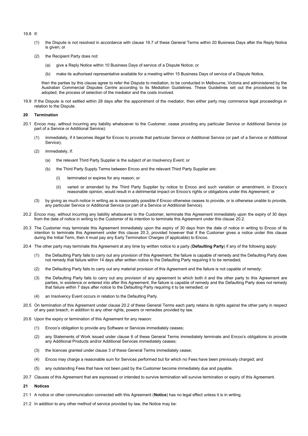- 19.8 If:
	- (1) the Dispute is not resolved in accordance with clause 19.7 of these General Terms within 20 Business Days after the Reply Notice is given; or
	- (2) the Recipient Party does not:
		- (a) give a Reply Notice within 10 Business Days of service of a Dispute Notice; or
		- (b) make its authorised representative available for a meeting within 15 Business Days of service of a Dispute Notice,

then the parties by this clause agree to refer the Dispute to mediation, to be conducted in Melbourne, Victoria and administered by the Australian Commercial Disputes Centre according to its Mediation Guidelines. These Guidelines set out the procedures to be adopted, the process of selection of the mediator and the costs involved.

19.9 If the Dispute is not settled within 28 days after the appointment of the mediator, then either party may commence legal proceedings in relation to the Dispute.

#### **20 Termination**

- 20.1 Encoo may, without incurring any liability whatsoever to the Customer, cease providing any particular Service or Additional Service (or part of a Service or Additional Service):
	- immediately, if it becomes illegal for Encoo to provide that particular Service or Additional Service (or part of a Service or Additional Service);
	- (2) immediately, if:
		- (a) the relevant Third Party Supplier is the subject of an Insolvency Event; or
		- (b) the Third Party Supply Terms between Encoo and the relevant Third Party Supplier are:
			- (i) terminated or expires for any reason; or
			- (ii) varied or amended by the Third Party Supplier by notice to Encoo and such variation or amendment, in Encoo's reasonable opinion, would result in a detrimental impact on Encoo's rights or obligations under this Agreement; or
	- (3) by giving as much notice in writing as is reasonably possible if Encoo otherwise ceases to provide, or is otherwise unable to provide, any particular Service or Additional Service (or part of a Service or Additional Service).
- 20.2 Encoo may, without incurring any liability whatsoever to the Customer, terminate this Agreement immediately upon the expiry of 30 days from the date of notice in writing to the Customer of its intention to terminate this Agreement under this clause 20.2.
- 20.3 The Customer may terminate this Agreement immediately upon the expiry of 30 days from the date of notice in writing to Encoo of its intention to terminate this Agreement under this clause 20.3, provided however that if the Customer gives a notice under this clause during the Initial Term, then it must pay any Early Termination Charges (if applicable) to Encoo.
- 20.4 The other party may terminate this Agreement at any time by written notice to a party (**Defaulting Party**) if any of the following apply:
	- (1) the Defaulting Party fails to carry out any provision of this Agreement, the failure is capable of remedy and the Defaulting Party does not remedy that failure within 14 days after written notice to the Defaulting Party requiring it to be remedied;
	- (2) the Defaulting Party fails to carry out any material provision of this Agreement and the failure is not capable of remedy;
	- (3) the Defaulting Party fails to carry out any provision of any agreement to which both it and the other party to this Agreement are parties, in existence or entered into after this Agreement, the failure is capable of remedy and the Defaulting Party does not remedy that failure within 7 days after notice to the Defaulting Party requiring it to be remedied; or
	- (4) an Insolvency Event occurs in relation to the Defaulting Party.
- 20.5 On termination of this Agreement under clause 20.2 of these General Terms each party retains its rights against the other party in respect of any past breach, in addition to any other rights, powers or remedies provided by law.
- 20.6 Upon the expiry or termination of this Agreement for any reason:
	- (1) Encoo's obligation to provide any Software or Services immediately ceases;
	- (2) any Statements of Work issued under clause 6 of these General Terms immediately terminate and Encoo's obligations to provide any Additional Products and/or Additional Services immediately ceases;
	- (3) the licences granted under clause 3 of these General Terms immediately cease;
	- (4) Encoo may charge a reasonable sum for Services performed but for which no Fees have been previously charged; and
	- (5) any outstanding Fees that have not been paid by the Customer become immediately due and payable.
- 20.7 Clauses of this Agreement that are expressed or intended to survive termination will survive termination or expiry of this Agreement.
- **21 Notices**
- 21.1 A notice or other communication connected with this Agreement (**Notice**) has no legal effect unless it is in writing.
- 21.2 In addition to any other method of service provided by law, the Notice may be: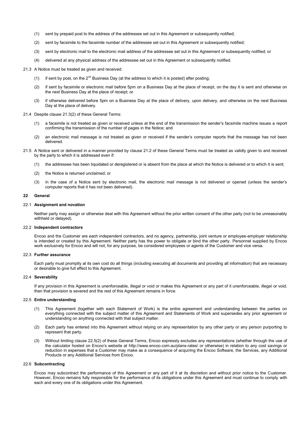- (1) sent by prepaid post to the address of the addressee set out in this Agreement or subsequently notified;
- (2) sent by facsimile to the facsimile number of the addressee set out in this Agreement or subsequently notified;
- (3) sent by electronic mail to the electronic mail address of the addressee set out in this Agreement or subsequently notified; or
- (4) delivered at any physical address of the addressee set out in this Agreement or subsequently notified.
- 21.3 A Notice must be treated as given and received:
	- (1) if sent by post, on the  $2^{nd}$  Business Day (at the address to which it is posted) after posting;
	- (2) if sent by facsimile or electronic mail before 5pm on a Business Day at the place of receipt, on the day it is sent and otherwise on the next Business Day at the place of receipt; or
	- (3) if otherwise delivered before 5pm on a Business Day at the place of delivery, upon delivery, and otherwise on the next Business Day at the place of delivery.
- 21.4 Despite clause 21.3(2) of these General Terms:
	- (1) a facsimile is not treated as given or received unless at the end of the transmission the sender's facsimile machine issues a report confirming the transmission of the number of pages in the Notice; and
	- (2) an electronic mail message is not treated as given or received if the sender's computer reports that the message has not been delivered.
- 21.5 A Notice sent or delivered in a manner provided by clause 21.2 of these General Terms must be treated as validly given to and received by the party to which it is addressed even if:
	- (1) the addressee has been liquidated or deregistered or is absent from the place at which the Notice is delivered or to which it is sent;
	- (2) the Notice is returned unclaimed; or
	- (3) in the case of a Notice sent by electronic mail, the electronic mail message is not delivered or opened (unless the sender's computer reports that it has not been delivered).

#### **22 General**

#### 22.1 **Assignment and novation**

Neither party may assign or otherwise deal with this Agreement without the prior written consent of the other party (not to be unreasonably withheld or delayed).

#### 22.2 **Independent contractors**

Encoo and the Customer are each independent contractors, and no agency, partnership, joint venture or employee-employer relationship is intended or created by this Agreement. Neither party has the power to obligate or bind the other party. Personnel supplied by Encoo work exclusively for Encoo and will not, for any purpose, be considered employees or agents of the Customer and vice versa.

#### 22.3 **Further assurance**

Each party must promptly at its own cost do all things (including executing all documents and providing all information) that are necessary or desirable to give full effect to this Agreement.

#### 22.4 **Severability**

If any provision in this Agreement is unenforceable, illegal or void or makes this Agreement or any part of it unenforceable, illegal or void, then that provision is severed and the rest of this Agreement remains in force.

#### 22.5 **Entire understanding**

- (1) This Agreement (together with each Statement of Work) is the entire agreement and understanding between the parties on everything connected with the subject matter of this Agreement and Statements of Work and supersedes any prior agreement or understanding on anything connected with that subject matter.
- (2) Each party has entered into this Agreement without relying on any representation by any other party or any person purporting to represent that party.
- (3) Without limiting clause 22.5(2) of these General Terms, Encoo expressly excludes any representations (whether through the use of the calculator hosted on Encoo's website at http://www.encoo.com.au/plans-rates/ or otherwise) in relation to any cost savings or reduction in expenses that a Customer may make as a consequence of acquiring the Encoo Software, the Services, any Additional Products or any Additional Services from Encoo.

#### 22.6 **Subcontracting**

Encoo may subcontract the performance of this Agreement or any part of it at its discretion and without prior notice to the Customer. However, Encoo remains fully responsible for the performance of its obligations under this Agreement and must continue to comply with each and every one of its obligations under this Agreement.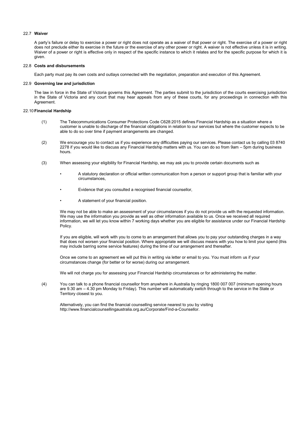#### 22.7 **Waiver**

A party's failure or delay to exercise a power or right does not operate as a waiver of that power or right. The exercise of a power or right does not preclude either its exercise in the future or the exercise of any other power or right. A waiver is not effective unless it is in writing. Waiver of a power or right is effective only in respect of the specific instance to which it relates and for the specific purpose for which it is given.

#### 22.8 **Costs and disbursements**

Each party must pay its own costs and outlays connected with the negotiation, preparation and execution of this Agreement.

#### 22.9 **Governing law and jurisdiction**

The law in force in the State of Victoria governs this Agreement. The parties submit to the jurisdiction of the courts exercising jurisdiction in the State of Victoria and any court that may hear appeals from any of these courts, for any proceedings in connection with this Agreement.

#### 22.10**Financial Hardship**

- (1) The Telecommunications Consumer Protections Code C628:2015 defines Financial Hardship as a situation where a customer is unable to discharge of the financial obligations in relation to our services but where the customer expects to be able to do so over time if payment arrangements are changed.
- (2) We encourage you to contact us if you experience any difficulties paying our services. Please contact us by calling 03 8740 2278 if you would like to discuss any Financial Hardship matters with us. You can do so from 9am – 5pm during business hours.
- (3) When assessing your eligibility for Financial Hardship, we may ask you to provide certain documents such as
	- A statutory declaration or official written communication from a person or support group that is familiar with your circumstances,
	- Evidence that you consulted a recognised financial counsellor,
	- A statement of your financial position.

We may not be able to make an assessment of your circumstances if you do not provide us with the requested information. We may use the information you provide as well as other information available to us. Once we received all required information, we will let you know within 7 working days whether you are eligible for assistance under our Financial Hardship Policy.

If you are eligible, will work with you to come to an arrangement that allows you to pay your outstanding charges in a way that does not worsen your financial position. Where appropriate we will discuss means with you how to limit your spend (this may include barring some service features) during the time of our arrangement and thereafter.

Once we come to an agreement we will put this in writing via letter or email to you. You must inform us if your circumstances change (for better or for worse) during our arrangement.

We will not charge you for assessing your Financial Hardship circumstances or for administering the matter.

(4) You can talk to a phone financial counsellor from anywhere in Australia by ringing 1800 007 007 (minimum opening hours are 9.30 am – 4.30 pm Monday to Friday). This number will automatically switch through to the service in the State or Territory closest to you.

Alternatively, you can find the financial counselling service nearest to you by visiting http://www.financialcounsellingaustralia.org.au/Corporate/Find-a-Counsellor.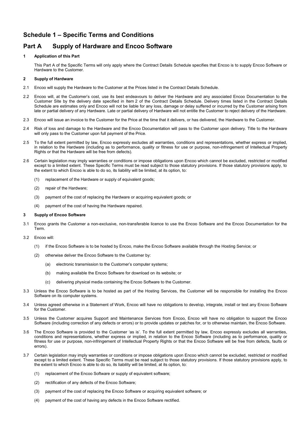## **Schedule 1 – Specific Terms and Conditions**

## **Part A Supply of Hardware and Encoo Software**

#### **1 Application of this Part**

This Part A of the Specific Terms will only apply where the Contract Details Schedule specifies that Encoo is to supply Encoo Software or Hardware to the Customer.

#### **2 Supply of Hardware**

- 2.1 Encoo will supply the Hardware to the Customer at the Prices listed in the Contract Details Schedule.
- 2.2 Encoo will, at the Customer's cost, use its best endeavours to deliver the Hardware and any associated Encoo Documentation to the Customer Site by the delivery date specified in Item 2 of the Contract Details Schedule. Delivery times listed in the Contract Details Schedule are estimates only and Encoo will not be liable for any loss, damage or delay suffered or incurred by the Customer arising from late or partial delivery of any Hardware. Late or partial delivery of Hardware will not entitle the Customer to reject delivery of the Hardware.
- 2.3 Encoo will issue an invoice to the Customer for the Price at the time that it delivers, or has delivered, the Hardware to the Customer.
- 2.4 Risk of loss and damage to the Hardware and the Encoo Documentation will pass to the Customer upon delivery. Title to the Hardware will only pass to the Customer upon full payment of the Price.
- 2.5 To the full extent permitted by law, Encoo expressly excludes all warranties, conditions and representations, whether express or implied, in relation to the Hardware (including as to performance, quality or fitness for use or purpose, non-infringement of Intellectual Property Rights or that the Hardware will be free from defects).
- 2.6 Certain legislation may imply warranties or conditions or impose obligations upon Encoo which cannot be excluded, restricted or modified except to a limited extent. These Specific Terms must be read subject to those statutory provisions. If those statutory provisions apply, to the extent to which Encoo is able to do so, its liability will be limited, at its option, to:
	- (1) replacement of the Hardware or supply of equivalent goods;
	- (2) repair of the Hardware;
	- (3) payment of the cost of replacing the Hardware or acquiring equivalent goods; or
	- (4) payment of the cost of having the Hardware repaired.

#### **3 Supply of Encoo Software**

- 3.1 Encoo grants the Customer a non-exclusive, non-transferable licence to use the Encoo Software and the Encoo Documentation for the Term.
- 3.2 Encoo will:
	- (1) if the Encoo Software is to be hosted by Encoo, make the Encoo Software available through the Hosting Service; or
	- (2) otherwise deliver the Encoo Software to the Customer by:
		- (a) electronic transmission to the Customer's computer systems;
		- (b) making available the Encoo Software for download on its website; or
		- (c) delivering physical media containing the Encoo Software to the Customer.
- 3.3 Unless the Encoo Software is to be hosted as part of the Hosting Services, the Customer will be responsible for installing the Encoo Software on its computer systems.
- 3.4 Unless agreed otherwise in a Statement of Work, Encoo will have no obligations to develop, integrate, install or test any Encoo Software for the Customer.
- 3.5 Unless the Customer acquires Support and Maintenance Services from Encoo, Encoo will have no obligation to support the Encoo Software (including correction of any defects or errors) or to provide updates or patches for, or to otherwise maintain, the Encoo Software.
- 3.6 The Encoo Software is provided to the Customer 'as is'. To the full extent permitted by law, Encoo expressly excludes all warranties, conditions and representations, whether express or implied, in relation to the Encoo Software (including as to performance, quality or fitness for use or purpose, non-infringement of Intellectual Property Rights or that the Encoo Software will be free from defects, faults or errors).
- 3.7 Certain legislation may imply warranties or conditions or impose obligations upon Encoo which cannot be excluded, restricted or modified except to a limited extent. These Specific Terms must be read subject to those statutory provisions. If those statutory provisions apply, to the extent to which Encoo is able to do so, its liability will be limited, at its option, to:
	- (1) replacement of the Encoo Software or supply of equivalent software;
	- (2) rectification of any defects of the Encoo Software;
	- (3) payment of the cost of replacing the Encoo Software or acquiring equivalent software; or
	- (4) payment of the cost of having any defects in the Encoo Software rectified.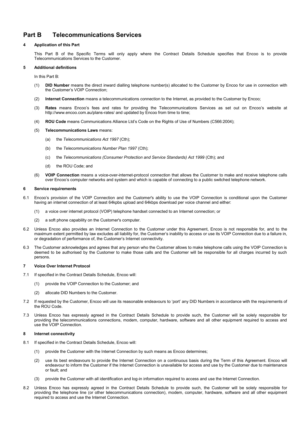## **Part B Telecommunications Services**

#### **4 Application of this Part**

This Part B of the Specific Terms will only apply where the Contract Details Schedule specifies that Encoo is to provide Telecommunications Services to the Customer.

#### **5 Additional definitions**

In this Part B:

- (1) **DID Number** means the direct inward dialling telephone number(s) allocated to the Customer by Encoo for use in connection with the Customer's VOIP Connection;
- (2) **Internet Connection** means a telecommunications connection to the Internet, as provided to the Customer by Encoo;
- (3) **Rates** means Encoo's fees and rates for providing the Telecommunications Services as set out on Encoo's website at http://www.encoo.com.au/plans-rates/ and updated by Encoo from time to time;
- (4) **ROU Code** means Communications Alliance Ltd's Code on the Rights of Use of Numbers (C566:2004);
- (5) **Telecommunications Laws** means:
	- (a) the *Telecommunications Act 1997* (Cth);
	- (b) the *Telecommunications Number Plan 1997* (Cth);
	- (c) the *Telecommunications (Consumer Protection and Service Standards) Act 1999* (Cth); and
	- (d) the ROU Code; and
- (6) **VOIP Connection** means a voice-over-internet-protocol connection that allows the Customer to make and receive telephone calls over Encoo's computer networks and system and which is capable of connecting to a public switched telephone network.

#### **6 Service requirements**

- 6.1 Encoo's provision of the VOIP Connection and the Customer's ability to use the VOIP Connection is conditional upon the Customer having an internet connection of at least 64kpbs upload and 64kbps download per voice channel and either:
	- (1) a voice over internet protocol (VOIP) telephone handset connected to an Internet connection; or
	- (2) a soft phone capability on the Customer's computer.
- 6.2 Unless Encoo also provides an Internet Connection to the Customer under this Agreement, Encoo is not responsible for, and to the maximum extent permitted by law excludes all liability for, the Customer's inability to access or use its VOIP Connection due to a failure in, or degradation of performance of, the Customer's Internet connectivity.
- 6.3 The Customer acknowledges and agrees that any person who the Customer allows to make telephone calls using the VOIP Connection is deemed to be authorised by the Customer to make those calls and the Customer will be responsible for all charges incurred by such persons.

#### **7 Voice Over Internet Protocol**

- 7.1 If specified in the Contract Details Schedule, Encoo will:
	- (1) provide the VOIP Connection to the Customer; and
	- (2) allocate DID Numbers to the Customer.
- 7.2 If requested by the Customer, Encoo will use its reasonable endeavours to 'port' any DID Numbers in accordance with the requirements of the ROU Code.
- Unless Encoo has expressly agreed in the Contract Details Schedule to provide such, the Customer will be solely responsible for providing the telecommunications connections, modem, computer, hardware, software and all other equipment required to access and use the VOIP Connection.

#### **8 Internet connectivity**

- 8.1 If specified in the Contract Details Schedule, Encoo will:
	- (1) provide the Customer with the Internet Connection by such means as Encoo determines;
	- (2) use its best endeavours to provide the Internet Connection on a continuous basis during the Term of this Agreement. Encoo will endeavour to inform the Customer if the Internet Connection is unavailable for access and use by the Customer due to maintenance or fault; and
	- (3) provide the Customer with all identification and log-in information required to access and use the Internet Connection.
- Unless Encoo has expressly agreed in the Contract Details Schedule to provide such, the Customer will be solely responsible for providing the telephone line (or other telecommunications connection), modem, computer, hardware, software and all other equipment required to access and use the Internet Connection.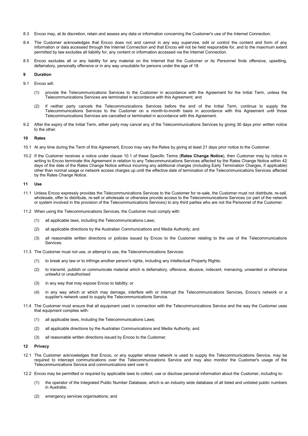- 8.3 Encoo may, at its discretion, retain and assess any data or information concerning the Customer's use of the Internet Connection.
- 8.4 The Customer acknowledges that Encoo does not and cannot in any way supervise, edit or control the content and form of any information or data accessed through the Internet Connection and that Encoo will not be held responsible for, and to the maximum extent permitted by law excludes all liability for, any content or information accessed via the Internet Connection.
- 8.5 Encoo excludes all or any liability for any material on the Internet that the Customer or its Personnel finds offensive, upsetting, defamatory, personally offensive or in any way unsuitable for persons under the age of 18.

#### **9 Duration**

- 9.1 Encoo will:
	- (1) provide the Telecommunications Services to the Customer in accordance with the Agreement for the Initial Term, unless the Telecommunications Services are terminated in accordance with this Agreement; and
	- (2) if neither party cancels the Telecommunications Services before the end of the Initial Term, continue to supply the Telecommunications Services to the Customer on a month-to-month basis in accordance with this Agreement until those Telecommunications Services are cancelled or terminated in accordance with this Agreement.
- 9.2 After the expiry of the Initial Term, either party may cancel any of the Telecommunications Services by giving 30 days prior written notice to the other.

#### **10 Rates**

- 10.1 At any time during the Term of this Agreement, Encoo may vary the Rates by giving at least 21 days prior notice to the Customer.
- 10.2 If the Customer receives a notice under clause 10.1 of these Specific Terms (**Rates Change Notice**), then Customer may by notice in writing to Encoo terminate this Agreement in relation to any Telecommunications Services affected by the Rates Change Notice within 42 days of the date of the Rates Change Notice without incurring any additional charges (including Early Termination Charges, if applicable) other than normal usage or network access charges up until the effective date of termination of the Telecommunications Services affected by the Rates Change Notice.

#### **11 Use**

- 11.1 Unless Encoo expressly provides the Telecommunications Services to the Customer for re-sale, the Customer must not distribute, re-sell, wholesale, offer to distribute, re-sell or wholesale or otherwise provide access to the Telecommunications Services (or part of the network or system involved in the provision of the Telecommunications Services) to any third parties who are not the Personnel of the Customer.
- 11.2 When using the Telecommunications Services, the Customer must comply with:
	- (1) all applicable laws, including the Telecommunications Laws;
	- (2) all applicable directions by the Australian Communications and Media Authority; and
	- (3) all reasonable written directions or policies issued by Encoo to the Customer relating to the use of the Telecommunications **Services**
- 11.3 The Customer must not use, or attempt to use, the Telecommunications Services:
	- (1) to break any law or to infringe another person's rights, including any Intellectual Property Rights;
	- (2) to transmit, publish or communicate material which is defamatory, offensive, abusive, indecent, menacing, unwanted or otherwise unlawful or unauthorised
	- (3) in any way that may expose Encoo to liability; or
	- (4) in any way which or which may damage, interfere with or interrupt the Telecommunications Services, Encoo's network or a supplier's network used to supply the Telecommunications Service.
- 11.4 The Customer must ensure that all equipment used in connection with the Telecommunications Service and the way the Customer uses that equipment complies with:
	- (1) all applicable laws, including the Telecommunications Laws;
	- (2) all applicable directions by the Australian Communications and Media Authority; and
	- (3) all reasonable written directions issued by Encoo to the Customer.

#### **12 Privacy**

- 12.1 The Customer acknowledges that Encoo, or any supplier whose network is used to supply the Telecommunications Service, may be required to intercept communications over the Telecommunications Service and may also monitor the Customer's usage of the Telecommunications Service and communications sent over it.
- 12.2 Encoo may be permitted or required by applicable laws to collect, use or disclose personal information about the Customer, including to:
	- (1) the operator of the Integrated Public Number Database, which is an industry wide database of all listed and unlisted public numbers in Australia;
	- (2) emergency services organisations; and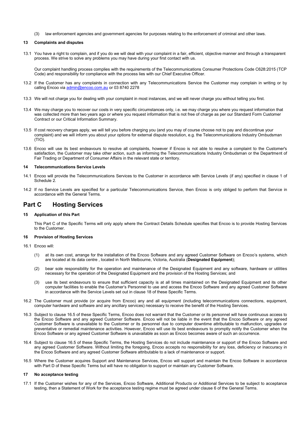(3) law enforcement agencies and government agencies for purposes relating to the enforcement of criminal and other laws.

#### **13 Complaints and disputes**

13.1 You have a right to complain, and if you do we will deal with your complaint in a fair, efficient, objective manner and through a transparent process. We strive to solve any problems you may have during your first contact with us.

Our complaint handling process complies with the requirements of the Telecommunications Consumer Protections Code C628:2015 (TCP Code) and responsibility for compliance with the process lies with our Chief Executive Officer.

- 13.2 If the Customer has any complaints in connection with any Telecommunications Service the Customer may complain in writing or by calling Encoo vi[a admin@encoo.com.au](mailto:admin@encoo.com.au) or 03 8740 2278
- 13.3 We will not charge you for dealing with your complaint in most instances, and we will never charge you without telling you first.
- 13.4 We may charge you to recover our costs in very specific circumstances only, i.e. we may charge you where you request information that was collected more than two years ago or where you request information that is not free of charge as per our Standard Form Customer Contract or our Critical Information Summary.
- 13.5 If cost recovery charges apply, we will tell you before charging you (and you may of course choose not to pay and discontinue your complaint) and we will inform you about your options for external dispute resolution, e.g. the Telecommunications Industry Ombudsman (TIO).
- 13.6 Encoo will use its best endeavours to resolve all complaints, however if Encoo is not able to resolve a complaint to the Customer's satisfaction, the Customer may take other action, such as informing the Telecommunications Industry Ombudsman or the Department of Fair Trading or Department of Consumer Affairs in the relevant state or territory.

#### **14 Telecommunications Service Levels**

- 14.1 Encoo will provide the Telecommunications Services to the Customer in accordance with Service Levels (if any) specified in clause 1 of Schedule 2.
- 14.2 If no Service Levels are specified for a particular Telecommunications Service, then Encoo is only obliged to perform that Service in accordance with the General Terms.

## **Part C Hosting Services**

#### **15 Application of this Part**

This Part C of the Specific Terms will only apply where the Contract Details Schedule specifies that Encoo is to provide Hosting Services to the Customer.

#### **16 Provision of Hosting Services**

- 16.1 Encoo will:
	- (1) at its own cost, arrange for the installation of the Encoo Software and any agreed Customer Software on Encoo's systems, which are located at its data centre , located in North Melbourne, Victoria, Australia (**Designated Equipment**);
	- (2) bear sole responsibility for the operation and maintenance of the Designated Equipment and any software, hardware or utilities necessary for the operation of the Designated Equipment and the provision of the Hosting Services; and
	- (3) use its best endeavours to ensure that sufficient capacity is at all times maintained on the Designated Equipment and its other computer facilities to enable the Customer's Personnel to use and access the Encoo Software and any agreed Customer Software in accordance with the Service Levels set out in clause 18 of these Specific Terms.
- 16.2 The Customer must provide (or acquire from Encoo) any and all equipment (including telecommunications connections, equipment, computer hardware and software and any ancillary services) necessary to receive the benefit of the Hosting Services.
- 16.3 Subject to clause 16.5 of these Specific Terms, Encoo does not warrant that the Customer or its personnel will have continuous access to the Encoo Software and any agreed Customer Software. Encoo will not be liable in the event that the Encoo Software or any agreed Customer Software is unavailable to the Customer or its personnel due to computer downtime attributable to malfunction, upgrades or preventative or remedial maintenance activities. However, Encoo will use its best endeavours to promptly notify the Customer when the Encoo Software or any agreed Customer Software is unavailable as soon as Encoo becomes aware of such an occurrence.
- 16.4 Subject to clause 16.5 of these Specific Terms, the Hosting Services do not include maintenance or support of the Encoo Software and any agreed Customer Software. Without limiting the foregoing, Encoo accepts no responsibility for any loss, deficiency or inaccuracy in the Encoo Software and any agreed Customer Software attributable to a lack of maintenance or support.
- 16.5 Where the Customer acquires Support and Maintenance Services, Encoo will support and maintain the Encoo Software in accordance with Part D of these Specific Terms but will have no obligation to support or maintain any Customer Software.

#### **17 No acceptance testing**

17.1 If the Customer wishes for any of the Services, Encoo Software, Additional Products or Additional Services to be subject to acceptance testing, then a Statement of Work for the acceptance testing regime must be agreed under clause 6 of the General Terms.